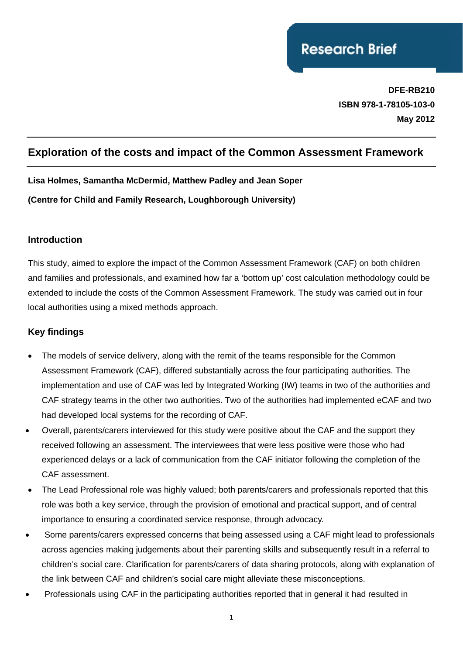# **Research Brief**

**DFE-RB210 ISBN 978-1-78105-103-0 May 2012**

# **Exploration of the costs and impact of the Common Assessment Framework**

**Lisa Holmes, Samantha McDermid, Matthew Padley and Jean Soper (Centre for Child and Family Research, Loughborough University)** 

#### **Introduction**

This study, aimed to explore the impact of the Common Assessment Framework (CAF) on both children and families and professionals, and examined how far a 'bottom up' cost calculation methodology could be extended to include the costs of the Common Assessment Framework. The study was carried out in four local authorities using a mixed methods approach.

#### **Key findings**

- The models of service delivery, along with the remit of the teams responsible for the Common Assessment Framework (CAF), differed substantially across the four participating authorities. The implementation and use of CAF was led by Integrated Working (IW) teams in two of the authorities and CAF strategy teams in the other two authorities. Two of the authorities had implemented eCAF and two had developed local systems for the recording of CAF.
- Overall, parents/carers interviewed for this study were positive about the CAF and the support they received following an assessment. The interviewees that were less positive were those who had experienced delays or a lack of communication from the CAF initiator following the completion of the CAF assessment.
- The Lead Professional role was highly valued; both parents/carers and professionals reported that this role was both a key service, through the provision of emotional and practical support, and of central importance to ensuring a coordinated service response, through advocacy.
- Some parents/carers expressed concerns that being assessed using a CAF might lead to professionals across agencies making judgements about their parenting skills and subsequently result in a referral to children's social care. Clarification for parents/carers of data sharing protocols, along with explanation of the link between CAF and children's social care might alleviate these misconceptions.
- Professionals using CAF in the participating authorities reported that in general it had resulted in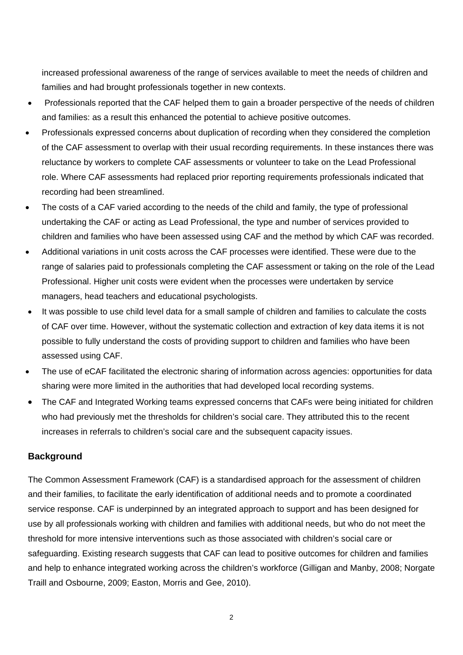increased professional awareness of the range of services available to meet the needs of children and families and had brought professionals together in new contexts.

- Professionals reported that the CAF helped them to gain a broader perspective of the needs of children and families: as a result this enhanced the potential to achieve positive outcomes.
- Professionals expressed concerns about duplication of recording when they considered the completion of the CAF assessment to overlap with their usual recording requirements. In these instances there was reluctance by workers to complete CAF assessments or volunteer to take on the Lead Professional role. Where CAF assessments had replaced prior reporting requirements professionals indicated that recording had been streamlined.
- The costs of a CAF varied according to the needs of the child and family, the type of professional undertaking the CAF or acting as Lead Professional, the type and number of services provided to children and families who have been assessed using CAF and the method by which CAF was recorded.
- Additional variations in unit costs across the CAF processes were identified. These were due to the range of salaries paid to professionals completing the CAF assessment or taking on the role of the Lead Professional. Higher unit costs were evident when the processes were undertaken by service managers, head teachers and educational psychologists.
- It was possible to use child level data for a small sample of children and families to calculate the costs of CAF over time. However, without the systematic collection and extraction of key data items it is not possible to fully understand the costs of providing support to children and families who have been assessed using CAF.
- The use of eCAF facilitated the electronic sharing of information across agencies: opportunities for data sharing were more limited in the authorities that had developed local recording systems.
- The CAF and Integrated Working teams expressed concerns that CAFs were being initiated for children who had previously met the thresholds for children's social care. They attributed this to the recent increases in referrals to children's social care and the subsequent capacity issues.

#### **Background**

The Common Assessment Framework (CAF) is a standardised approach for the assessment of children and their families, to facilitate the early identification of additional needs and to promote a coordinated service response. CAF is underpinned by an integrated approach to support and has been designed for use by all professionals working with children and families with additional needs, but who do not meet the threshold for more intensive interventions such as those associated with children's social care or safeguarding. Existing research suggests that CAF can lead to positive outcomes for children and families and help to enhance integrated working across the children's workforce (Gilligan and Manby, 2008; Norgate Traill and Osbourne, 2009; Easton, Morris and Gee, 2010).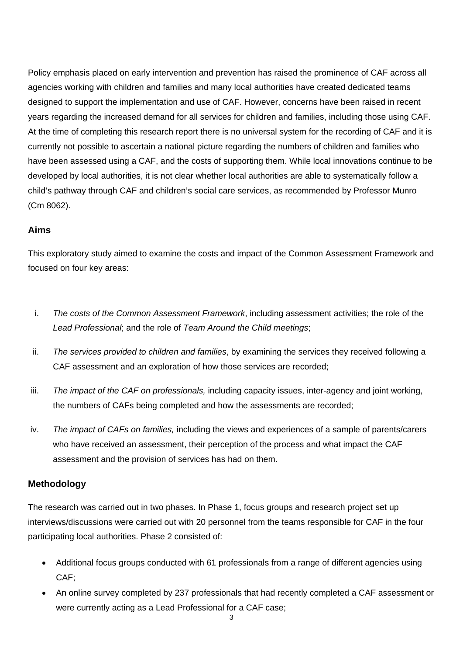Policy emphasis placed on early intervention and prevention has raised the prominence of CAF across all agencies working with children and families and many local authorities have created dedicated teams designed to support the implementation and use of CAF. However, concerns have been raised in recent years regarding the increased demand for all services for children and families, including those using CAF. At the time of completing this research report there is no universal system for the recording of CAF and it is currently not possible to ascertain a national picture regarding the numbers of children and families who have been assessed using a CAF, and the costs of supporting them. While local innovations continue to be developed by local authorities, it is not clear whether local authorities are able to systematically follow a child's pathway through CAF and children's social care services, as recommended by Professor Munro (Cm 8062).

## **Aims**

This exploratory study aimed to examine the costs and impact of the Common Assessment Framework and focused on four key areas:

- i. *The costs of the Common Assessment Framework*, including assessment activities; the role of the *Lead Professional*; and the role of *Team Around the Child meetings*;
- ii. *The services provided to children and families*, by examining the services they received following a CAF assessment and an exploration of how those services are recorded;
- iii. *The impact of the CAF on professionals,* including capacity issues, inter-agency and joint working, the numbers of CAFs being completed and how the assessments are recorded;
- iv. *The impact of CAFs on families,* including the views and experiences of a sample of parents/carers who have received an assessment, their perception of the process and what impact the CAF assessment and the provision of services has had on them.

#### **Methodology**

The research was carried out in two phases. In Phase 1, focus groups and research project set up interviews/discussions were carried out with 20 personnel from the teams responsible for CAF in the four participating local authorities. Phase 2 consisted of:

- Additional focus groups conducted with 61 professionals from a range of different agencies using CAF;
- An online survey completed by 237 professionals that had recently completed a CAF assessment or were currently acting as a Lead Professional for a CAF case;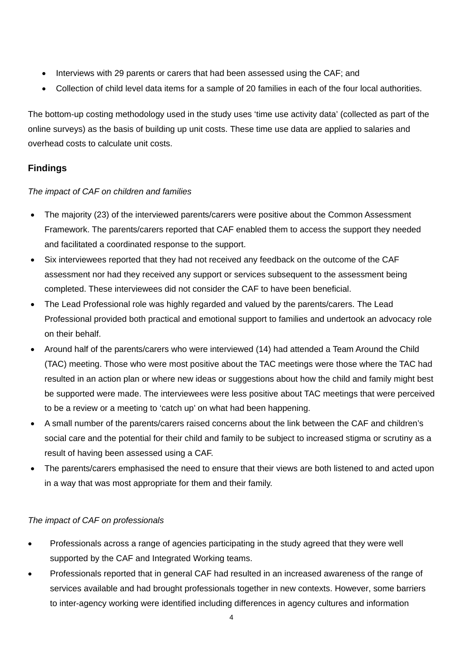- Interviews with 29 parents or carers that had been assessed using the CAF; and
- Collection of child level data items for a sample of 20 families in each of the four local authorities.

The bottom-up costing methodology used in the study uses 'time use activity data' (collected as part of the online surveys) as the basis of building up unit costs. These time use data are applied to salaries and overhead costs to calculate unit costs.

# **Findings**

#### *The impact of CAF on children and families*

- The majority (23) of the interviewed parents/carers were positive about the Common Assessment Framework. The parents/carers reported that CAF enabled them to access the support they needed and facilitated a coordinated response to the support.
- Six interviewees reported that they had not received any feedback on the outcome of the CAF assessment nor had they received any support or services subsequent to the assessment being completed. These interviewees did not consider the CAF to have been beneficial.
- The Lead Professional role was highly regarded and valued by the parents/carers. The Lead Professional provided both practical and emotional support to families and undertook an advocacy role on their behalf.
- Around half of the parents/carers who were interviewed (14) had attended a Team Around the Child (TAC) meeting. Those who were most positive about the TAC meetings were those where the TAC had resulted in an action plan or where new ideas or suggestions about how the child and family might best be supported were made. The interviewees were less positive about TAC meetings that were perceived to be a review or a meeting to 'catch up' on what had been happening.
- A small number of the parents/carers raised concerns about the link between the CAF and children's social care and the potential for their child and family to be subject to increased stigma or scrutiny as a result of having been assessed using a CAF.
- The parents/carers emphasised the need to ensure that their views are both listened to and acted upon in a way that was most appropriate for them and their family.

#### *The impact of CAF on professionals*

- Professionals across a range of agencies participating in the study agreed that they were well supported by the CAF and Integrated Working teams.
- Professionals reported that in general CAF had resulted in an increased awareness of the range of services available and had brought professionals together in new contexts. However, some barriers to inter-agency working were identified including differences in agency cultures and information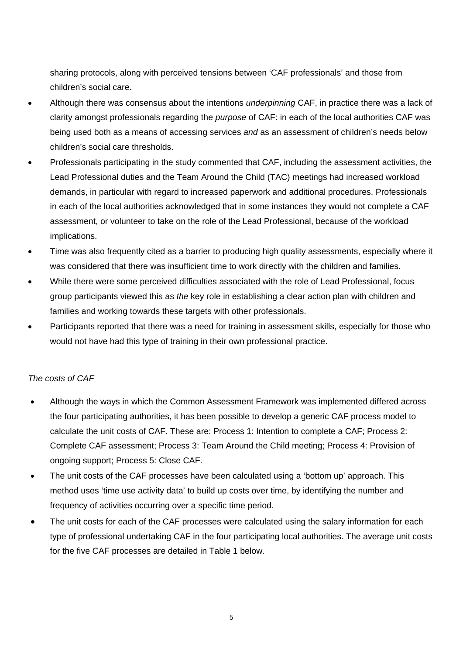sharing protocols, along with perceived tensions between 'CAF professionals' and those from children's social care.

- Although there was consensus about the intentions *underpinning* CAF, in practice there was a lack of clarity amongst professionals regarding the *purpose* of CAF: in each of the local authorities CAF was being used both as a means of accessing services *and* as an assessment of children's needs below children's social care thresholds.
- Professionals participating in the study commented that CAF, including the assessment activities, the Lead Professional duties and the Team Around the Child (TAC) meetings had increased workload demands, in particular with regard to increased paperwork and additional procedures. Professionals in each of the local authorities acknowledged that in some instances they would not complete a CAF assessment, or volunteer to take on the role of the Lead Professional, because of the workload implications.
- Time was also frequently cited as a barrier to producing high quality assessments, especially where it was considered that there was insufficient time to work directly with the children and families.
- While there were some perceived difficulties associated with the role of Lead Professional, focus group participants viewed this as *the* key role in establishing a clear action plan with children and families and working towards these targets with other professionals.
- Participants reported that there was a need for training in assessment skills, especially for those who would not have had this type of training in their own professional practice.

#### *The costs of CAF*

- Although the ways in which the Common Assessment Framework was implemented differed across the four participating authorities, it has been possible to develop a generic CAF process model to calculate the unit costs of CAF. These are: Process 1: Intention to complete a CAF; Process 2: Complete CAF assessment; Process 3: Team Around the Child meeting; Process 4: Provision of ongoing support; Process 5: Close CAF.
- The unit costs of the CAF processes have been calculated using a 'bottom up' approach. This method uses 'time use activity data' to build up costs over time, by identifying the number and frequency of activities occurring over a specific time period.
- The unit costs for each of the CAF processes were calculated using the salary information for each type of professional undertaking CAF in the four participating local authorities. The average unit costs for the five CAF processes are detailed in Table 1 below.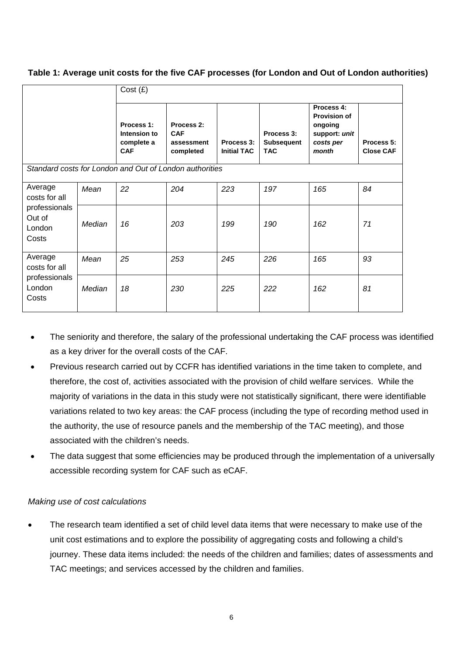**Table 1: Average unit costs for the five CAF processes (for London and Out of London authorities)** 

|                                                                        |        | Cost(E)                                                |                                                     |                                  |                                        |                                                                                     |                                |
|------------------------------------------------------------------------|--------|--------------------------------------------------------|-----------------------------------------------------|----------------------------------|----------------------------------------|-------------------------------------------------------------------------------------|--------------------------------|
|                                                                        |        | Process 1:<br>Intension to<br>complete a<br><b>CAF</b> | Process 2:<br><b>CAF</b><br>assessment<br>completed | Process 3:<br><b>Initial TAC</b> | Process 3:<br>Subsequent<br><b>TAC</b> | Process 4:<br><b>Provision of</b><br>ongoing<br>support: unit<br>costs per<br>month | Process 5:<br><b>Close CAF</b> |
| Standard costs for London and Out of London authorities                |        |                                                        |                                                     |                                  |                                        |                                                                                     |                                |
| Average<br>costs for all<br>professionals<br>Out of<br>London<br>Costs | Mean   | 22                                                     | 204                                                 | 223                              | 197                                    | 165                                                                                 | 84                             |
|                                                                        | Median | 16                                                     | 203                                                 | 199                              | 190                                    | 162                                                                                 | 71                             |
| Average<br>costs for all<br>professionals<br>London<br>Costs           | Mean   | 25                                                     | 253                                                 | 245                              | 226                                    | 165                                                                                 | 93                             |
|                                                                        | Median | 18                                                     | 230                                                 | 225                              | 222                                    | 162                                                                                 | 81                             |

- The seniority and therefore, the salary of the professional undertaking the CAF process was identified as a key driver for the overall costs of the CAF.
- Previous research carried out by CCFR has identified variations in the time taken to complete, and therefore, the cost of, activities associated with the provision of child welfare services. While the majority of variations in the data in this study were not statistically significant, there were identifiable variations related to two key areas: the CAF process (including the type of recording method used in the authority, the use of resource panels and the membership of the TAC meeting), and those associated with the children's needs.
- The data suggest that some efficiencies may be produced through the implementation of a universally accessible recording system for CAF such as eCAF.

#### *Making use of cost calculations*

The research team identified a set of child level data items that were necessary to make use of the unit cost estimations and to explore the possibility of aggregating costs and following a child's journey. These data items included: the needs of the children and families; dates of assessments and TAC meetings; and services accessed by the children and families.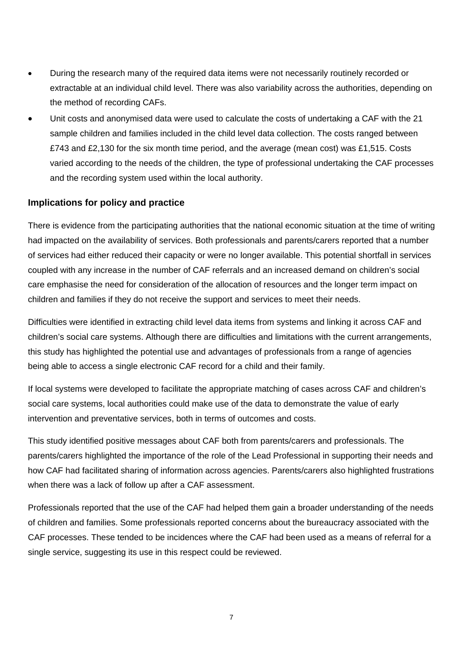- During the research many of the required data items were not necessarily routinely recorded or extractable at an individual child level. There was also variability across the authorities, depending on the method of recording CAFs.
- Unit costs and anonymised data were used to calculate the costs of undertaking a CAF with the 21 sample children and families included in the child level data collection. The costs ranged between £743 and £2,130 for the six month time period, and the average (mean cost) was £1,515. Costs varied according to the needs of the children, the type of professional undertaking the CAF processes and the recording system used within the local authority.

## **Implications for policy and practice**

There is evidence from the participating authorities that the national economic situation at the time of writing had impacted on the availability of services. Both professionals and parents/carers reported that a number of services had either reduced their capacity or were no longer available. This potential shortfall in services coupled with any increase in the number of CAF referrals and an increased demand on children's social care emphasise the need for consideration of the allocation of resources and the longer term impact on children and families if they do not receive the support and services to meet their needs.

Difficulties were identified in extracting child level data items from systems and linking it across CAF and children's social care systems. Although there are difficulties and limitations with the current arrangements, this study has highlighted the potential use and advantages of professionals from a range of agencies being able to access a single electronic CAF record for a child and their family.

If local systems were developed to facilitate the appropriate matching of cases across CAF and children's social care systems, local authorities could make use of the data to demonstrate the value of early intervention and preventative services, both in terms of outcomes and costs.

This study identified positive messages about CAF both from parents/carers and professionals. The parents/carers highlighted the importance of the role of the Lead Professional in supporting their needs and how CAF had facilitated sharing of information across agencies. Parents/carers also highlighted frustrations when there was a lack of follow up after a CAF assessment.

Professionals reported that the use of the CAF had helped them gain a broader understanding of the needs of children and families. Some professionals reported concerns about the bureaucracy associated with the CAF processes. These tended to be incidences where the CAF had been used as a means of referral for a single service, suggesting its use in this respect could be reviewed.

7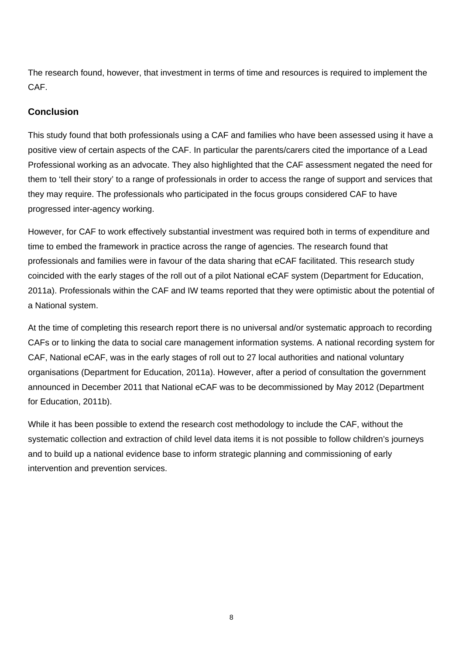The research found, however, that investment in terms of time and resources is required to implement the CAF.

## **Conclusion**

This study found that both professionals using a CAF and families who have been assessed using it have a positive view of certain aspects of the CAF. In particular the parents/carers cited the importance of a Lead Professional working as an advocate. They also highlighted that the CAF assessment negated the need for them to 'tell their story' to a range of professionals in order to access the range of support and services that they may require. The professionals who participated in the focus groups considered CAF to have progressed inter-agency working.

However, for CAF to work effectively substantial investment was required both in terms of expenditure and time to embed the framework in practice across the range of agencies. The research found that professionals and families were in favour of the data sharing that eCAF facilitated. This research study coincided with the early stages of the roll out of a pilot National eCAF system (Department for Education, 2011a). Professionals within the CAF and IW teams reported that they were optimistic about the potential of a National system.

At the time of completing this research report there is no universal and/or systematic approach to recording CAFs or to linking the data to social care management information systems. A national recording system for CAF, National eCAF, was in the early stages of roll out to 27 local authorities and national voluntary organisations (Department for Education, 2011a). However, after a period of consultation the government announced in December 2011 that National eCAF was to be decommissioned by May 2012 (Department for Education, 2011b).

While it has been possible to extend the research cost methodology to include the CAF, without the systematic collection and extraction of child level data items it is not possible to follow children's journeys and to build up a national evidence base to inform strategic planning and commissioning of early intervention and prevention services.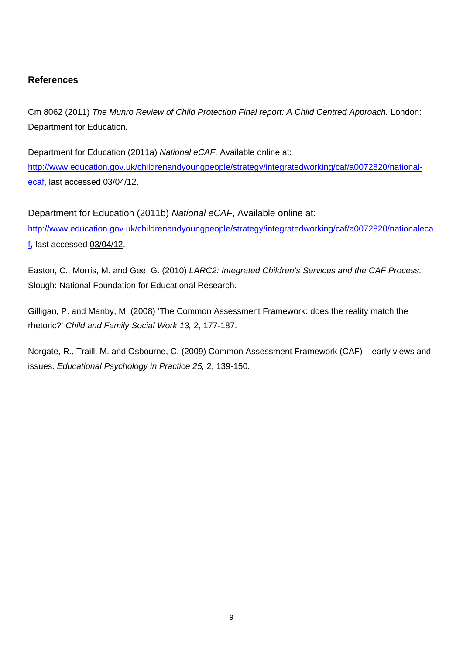# **References**

Cm 8062 (2011) *The Munro Review of Child Protection Final report: A Child Centred Approach.* London: Department for Education.

Department for Education (2011a) *National eCAF,* Available online at: [http://www.education.gov.uk/childrenandyoungpeople/strategy/integratedworking/caf/a0072820/national](http://www.education.gov.uk/childrenandyoungpeople/strategy/integratedworking/caf/a0072820/national-ecaf)[ecaf,](http://www.education.gov.uk/childrenandyoungpeople/strategy/integratedworking/caf/a0072820/national-ecaf) last accessed 03/04/12.

Department for Education (2011b) *National eCAF*, Available online at: [http://www.education.gov.uk/childrenandyoungpeople/strategy/integratedworking/caf/a0072820/nationaleca](http://www.education.gov.uk/childrenandyoungpeople/strategy/integratedworking/caf/a0072820/nationalecaf) [f](http://www.education.gov.uk/childrenandyoungpeople/strategy/integratedworking/caf/a0072820/nationalecaf)**,** last accessed 03/04/12.

Easton, C., Morris, M. and Gee, G. (2010) *LARC2: Integrated Children's Services and the CAF Process.* Slough: National Foundation for Educational Research.

Gilligan, P. and Manby, M. (2008) 'The Common Assessment Framework: does the reality match the rhetoric?' *Child and Family Social Work 13,* 2, 177-187.

Norgate, R., Traill, M. and Osbourne, C. (2009) Common Assessment Framework (CAF) – early views and issues. *Educational Psychology in Practice 25,* 2, 139-150.